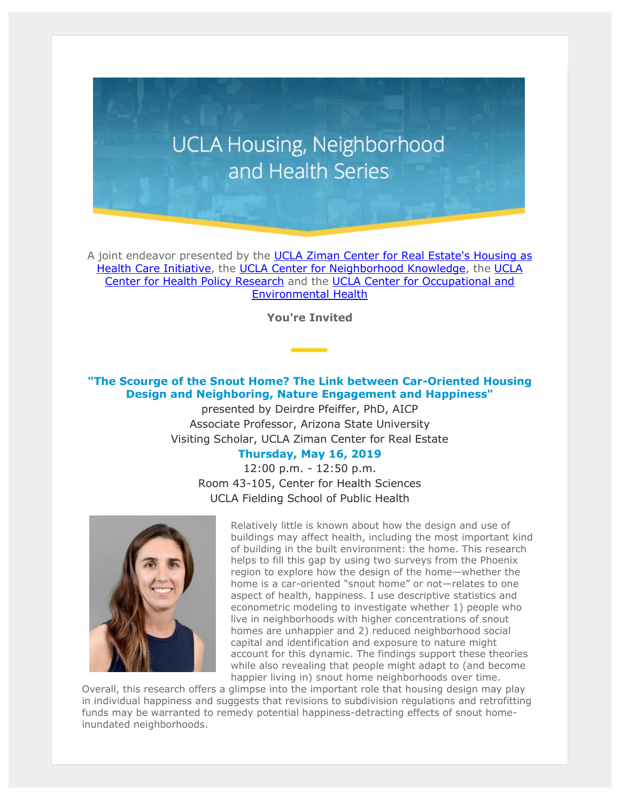## **UCLA Housing, Neighborhood** and Health Series

A joint endeavor presented by the UCLA Ziman Center for Real Estate's Housing as [Health Care Initiative,](https://t.e2ma.net/click/64gfmd/25ia3j/2dtvc1) the [UCLA Center for Neighborhood Knowledge,](https://t.e2ma.net/click/64gfmd/25ia3j/i6tvc1) the [UCLA](https://t.e2ma.net/click/64gfmd/25ia3j/yyuvc1)  [Center for Health Policy Research](https://t.e2ma.net/click/64gfmd/25ia3j/yyuvc1) and the [UCLA Center for Occupational and](https://t.e2ma.net/click/64gfmd/25ia3j/ervvc1)  [Environmental](https://t.e2ma.net/click/64gfmd/25ia3j/ervvc1) Health

**You're Invited**

## **"The Scourge of the Snout Home? The Link between Car-Oriented Housing Design and Neighboring, Nature Engagement and Happiness"**

presented by Deirdre Pfeiffer, PhD, AICP Associate Professor, Arizona State University Visiting Scholar, UCLA Ziman Center for Real Estate

## **Thursday, May 16, 2019**

12:00 p.m. - 12:50 p.m. Room 43-105, Center for Health Sciences UCLA Fielding School of Public Health



Relatively little is known about how the design and use of buildings may affect health, including the most important kind of building in the built environment: the home. This research helps to fill this gap by using two surveys from the Phoenix region to explore how the design of the home—whether the home is a car-oriented "snout home" or not—relates to one aspect of health, happiness. I use descriptive statistics and econometric modeling to investigate whether 1) people who live in neighborhoods with higher concentrations of snout homes are unhappier and 2) reduced neighborhood social capital and identification and exposure to nature might account for this dynamic. The findings support these theories while also revealing that people might adapt to (and become happier living in) snout home neighborhoods over time.

Overall, this research offers a glimpse into the important role that housing design may play in individual happiness and suggests that revisions to subdivision regulations and retrofitting funds may be warranted to remedy potential happiness-detracting effects of snout homeinundated neighborhoods.